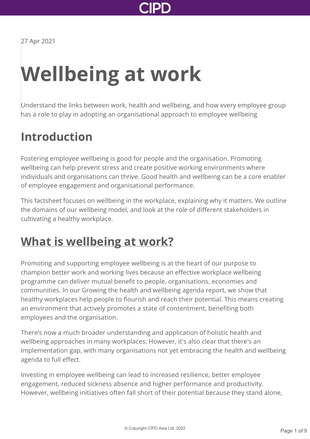

27 Apr 2021

# **Wellbeing at work**

Understand the links between work, health and wellbeing, and how every employee group has a role to play in adopting an organisational approach to employee wellbeing

### **Introduction**

Fostering employee wellbeing is good for people and the organisation. Promoting wellbeing can help prevent stress and create positive working environments where individuals and organisations can thrive. Good health and wellbeing can be a core enabler of employee engagement and organisational performance.

This factsheet focuses on wellbeing in the workplace, explaining why it matters. We outline the domains of our wellbeing model, and look at the role of different stakeholders in cultivating a healthy workplace.

### **[What is wellbeing at work?](http://www.cipd.asia/knowledge/factsheets/wellbeing?pdf=true#)**

Promoting and supporting employee wellbeing is at the heart of our purpose to champion better work and working lives because an effective workplace wellbeing programme can deliver mutual benefit to people, organisations, economies and communities. In our Growing the health and wellbeing agenda report, we show that healthy workplaces help people to flourish and reach their potential. This means creating an environment that actively promotes a state of contentment, benefiting both employees and the organisation.

There's now a much broader understanding and application of holistic health and wellbeing approaches in many workplaces. However, it's also clear that there's an implementation gap, with many organisations not yet embracing the health and wellbeing agenda to full effect.

Investing in employee wellbeing can lead to increased resilience, better employee engagement, reduced sickness absence and higher performance and productivity. However, wellbeing initiatives often fall short of their potential because they stand alone,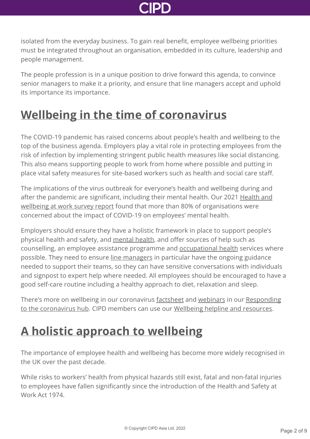

isolated from the everyday business. To gain real benefit, employee wellbeing priorities must be integrated throughout an organisation, embedded in its culture, leadership and people management.

The people profession is in a unique position to drive forward this agenda, to convince senior managers to make it a priority, and ensure that line managers accept and uphold its importance its importance.

### **[Wellbeing in the time of coronavirus](http://www.cipd.asia/knowledge/factsheets/wellbeing?pdf=true#)**

The COVID-19 pandemic has raised concerns about people's health and wellbeing to the top of the business agenda. Employers play a vital role in protecting employees from the risk of infection by implementing stringent public health measures like social distancing. This also means supporting people to work from home where possible and putting in place vital safety measures for site-based workers such as health and social care staff.

The implications of the virus outbreak for everyone's health and wellbeing during and [after the pandemic are significant, including their mental health. Our 2021 Health and](http://www.cipd.asia/knowledge/reports/health-well-being-work/) wellbeing at work survey report found that more than 80% of organisations were concerned about the impact of COVID-19 on employees' mental health.

Employers should ensure they have a holistic framework in place to support people's physical health and safety, and [mental health,](http://www.cipd.asia/knowledge/factsheets/mental-health-workplace/) and offer sources of help such as counselling, an employee assistance programme and [occupational health](http://www.cipd.asia/knowledge/factsheets/occupational-health/) services where possible. They need to ensure [line managers](http://www.cipd.asia/knowledge/factsheets/role-line-managers/) in particular have the ongoing guidance needed to support their teams, so they can have sensitive conversations with individuals and signpost to expert help where needed. All employees should be encouraged to have a good self-care routine including a healthy approach to diet, relaxation and sleep.

[There's more on wellbeing in our coronavirus](http://www.cipd.asia/knowledge/coronavirus/) [factsheet](http://www.cipd.asia/knowledge/factsheets/coronavirus/) [and](http://www.cipd.asia/knowledge/coronavirus/) [webinar](http://www.cipd.asia/knowledge/coronavirus/webinars/)[s in our Responding](http://www.cipd.asia/knowledge/coronavirus/) to the coronavirus hub. CIPD members can use our [Wellbeing helpline and resources](http://www.cipd.asia/membership/benefits/wellbeing-services/).

### **[A holistic approach to wellbeing](http://www.cipd.asia/knowledge/factsheets/wellbeing?pdf=true#)**

The importance of employee health and wellbeing has become more widely recognised in the UK over the past decade.

While risks to workers' health from physical hazards still exist, fatal and non-fatal injuries to employees have fallen significantly since the introduction of the Health and Safety at Work Act 1974.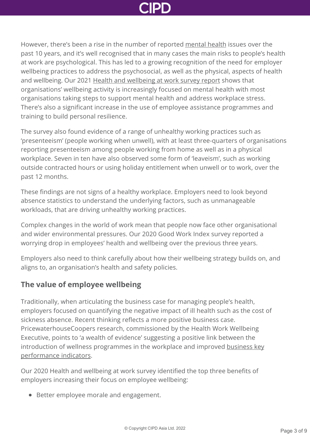However, there's been a rise in the number of reported [mental health](http://www.cipd.asia/knowledge/factsheets/mental-health-workplace/) issues over the past 10 years, and it's well recognised that in many cases the main risks to people's health at work are psychological. This has led to a growing recognition of the need for employer wellbeing practices to address the psychosocial, as well as the physical, aspects of health and wellbeing. Our 2021 [Health and wellbeing at work survey report](http://www.cipd.asia/knowledge/reports/health-well-being-work/) shows that organisations' wellbeing activity is increasingly focused on mental health with most organisations taking steps to support mental health and address workplace stress. There's also a significant increase in the use of employee assistance programmes and training to build personal resilience.

The survey also found evidence of a range of unhealthy working practices such as 'presenteeism' (people working when unwell), with at least three-quarters of organisations reporting presenteeism among people working from home as well as in a physical workplace. Seven in ten have also observed some form of 'leaveism', such as working outside contracted hours or using holiday entitlement when unwell or to work, over the past 12 months.

These findings are not signs of a healthy workplace. Employers need to look beyond absence statistics to understand the underlying factors, such as unmanageable workloads, that are driving unhealthy working practices.

Complex changes in the world of work mean that people now face other organisational and wider environmental pressures. Our 2020 Good Work Index survey reported a worrying drop in employees' health and wellbeing over the previous three years.

Employers also need to think carefully about how their wellbeing strategy builds on, and aligns to, an organisation's health and safety policies.

### **The value of employee wellbeing**

Traditionally, when articulating the business case for managing people's health, employers focused on quantifying the negative impact of ill health such as the cost of sickness absence. Recent thinking reflects a more positive business case. PricewaterhouseCoopers research, commissioned by the Health Work Wellbeing Executive, points to 'a wealth of evidence' suggesting a positive link between the [introduction of wellness programmes in the workplace and improved business key](https://www.gov.uk/government/uploads/system/uploads/attachment_data/file/209547/hwwb-dwp-wellness-report-public.pdf) performance indicators.

Our 2020 Health and wellbeing at work survey identified the top three benefits of employers increasing their focus on employee wellbeing:

● Better employee morale and engagement.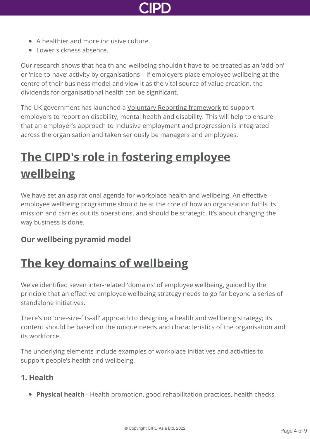

- A healthier and more inclusive culture.
- **Comer sickness absence**

Our research shows that health and wellbeing shouldn't have to be treated as an 'add-on' or 'nice-to-have' activity by organisations – if employers place employee wellbeing at the centre of their business model and view it as the vital source of value creation, the dividends for organisational health can be significant.

The UK government has launched a [Voluntary Reporting framework](https://www.gov.uk/government/publications/voluntary-reporting-on-disability-mental-health-and-wellbeing) to support employers to report on disability, mental health and disability. This will help to ensure that an employer's approach to inclusive employment and progression is integrated across the organisation and taken seriously be managers and employees.

## **[The CIPD's role in fostering employee](http://www.cipd.asia/knowledge/factsheets/wellbeing?pdf=true#) wellbeing**

We have set an aspirational agenda for workplace health and wellbeing. An effective employee wellbeing programme should be at the core of how an organisation fulfils its mission and carries out its operations, and should be strategic. It's about changing the way business is done.

#### **Our wellbeing pyramid model**

### **[The key domains of wellbeing](http://www.cipd.asia/knowledge/factsheets/wellbeing?pdf=true#)**

We've identified seven inter-related 'domains' of employee wellbeing, guided by the principle that an effective employee wellbeing strategy needs to go far beyond a series of standalone initiatives.

There's no 'one-size-fits-all' approach to designing a health and wellbeing strategy; its content should be based on the unique needs and characteristics of the organisation and its workforce.

The underlying elements include examples of workplace initiatives and activities to support people's health and wellbeing.

#### **1. Health**

**Physical health** - Health promotion, good rehabilitation practices, health checks,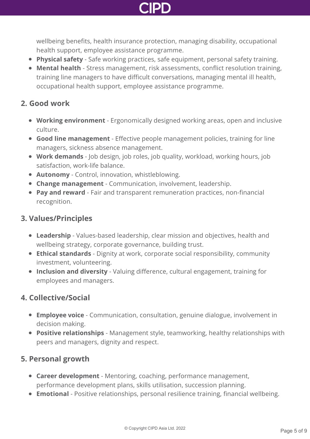

wellbeing benefits, health insurance protection, managing disability, occupational health support, employee assistance programme.

- **Physical safety** Safe working practices, safe equipment, personal safety training.
- **Mental health** Stress management, risk assessments, conflict resolution training, training line managers to have difficult conversations, managing mental ill health, occupational health support, employee assistance programme.

#### **2. Good work**

- **Working environment** Ergonomically designed working areas, open and inclusive culture.
- **Good line management** Effective people management policies, training for line managers, sickness absence management.
- **Work demands** Job design, job roles, job quality, workload, working hours, job satisfaction, work-life balance.
- **Autonomy** Control, innovation, whistleblowing.
- **Change management** Communication, involvement, leadership.
- **Pay and reward** Fair and transparent remuneration practices, non-financial recognition.

#### **3. Values/Principles**

- **Leadership** Values-based leadership, clear mission and objectives, health and wellbeing strategy, corporate governance, building trust.
- **Ethical standards** Dignity at work, corporate social responsibility, community investment, volunteering.
- **Inclusion and diversity** Valuing difference, cultural engagement, training for employees and managers.

### **4. Collective/Social**

- **Employee voice** Communication, consultation, genuine dialogue, involvement in decision making.
- **Positive relationships** Management style, teamworking, healthy relationships with peers and managers, dignity and respect.

#### **5. Personal growth**

- **Career development** Mentoring, coaching, performance management, performance development plans, skills utilisation, succession planning.
- **Emotional** Positive relationships, personal resilience training, financial wellbeing.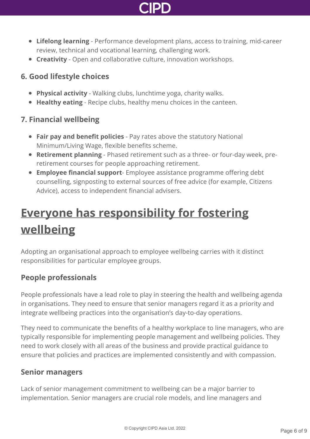

- **Lifelong learning** Performance development plans, access to training, mid-career review, technical and vocational learning, challenging work.
- **Creativity** Open and collaborative culture, innovation workshops.

#### **6. Good lifestyle choices**

- **Physical activity** Walking clubs, lunchtime yoga, charity walks.
- **Healthy eating** Recipe clubs, healthy menu choices in the canteen.

#### **7. Financial wellbeing**

- **Fair pay and benefit policies** Pay rates above the statutory National Minimum/Living Wage, flexible benefits scheme.
- **Retirement planning** Phased retirement such as a three- or four-day week, preretirement courses for people approaching retirement.
- **Employee financial support** Employee assistance programme offering debt counselling, signposting to external sources of free advice (for example, Citizens Advice), access to independent financial advisers.

## **[Everyone has responsibility for fostering](http://www.cipd.asia/knowledge/factsheets/wellbeing?pdf=true#) wellbeing**

Adopting an organisational approach to employee wellbeing carries with it distinct responsibilities for particular employee groups.

### **People professionals**

People professionals have a lead role to play in steering the health and wellbeing agenda in organisations. They need to ensure that senior managers regard it as a priority and integrate wellbeing practices into the organisation's day-to-day operations.

They need to communicate the benefits of a healthy workplace to line managers, who are typically responsible for implementing people management and wellbeing policies. They need to work closely with all areas of the business and provide practical guidance to ensure that policies and practices are implemented consistently and with compassion.

#### **Senior managers**

Lack of senior management commitment to wellbeing can be a major barrier to implementation. Senior managers are crucial role models, and line managers and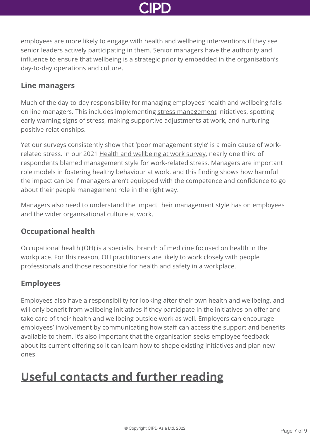

employees are more likely to engage with health and wellbeing interventions if they see senior leaders actively participating in them. Senior managers have the authority and influence to ensure that wellbeing is a strategic priority embedded in the organisation's day-to-day operations and culture.

#### **Line managers**

Much of the day-to-day responsibility for managing employees' health and wellbeing falls on line managers. This includes implementing [stress management](http://www.cipd.asia/knowledge/reports/managing-stress-at-work-guide/) initiatives, spotting early warning signs of stress, making supportive adjustments at work, and nurturing positive relationships.

Yet our surveys consistently show that 'poor management style' is a main cause of workrelated stress. In our 2021 [Health and wellbeing at work survey,](http://www.cipd.asia/knowledge/reports/health-well-being-work/) nearly one third of respondents blamed management style for work-related stress. Managers are important role models in fostering healthy behaviour at work, and this finding shows how harmful the impact can be if managers aren't equipped with the competence and confidence to go about their people management role in the right way.

Managers also need to understand the impact their management style has on employees and the wider organisational culture at work.

### **Occupational health**

[Occupational health](http://www.cipd.asia/knowledge/factsheets/occupational-health/) (OH) is a specialist branch of medicine focused on health in the workplace. For this reason, OH practitioners are likely to work closely with people professionals and those responsible for health and safety in a workplace.

### **Employees**

Employees also have a responsibility for looking after their own health and wellbeing, and will only benefit from wellbeing initiatives if they participate in the initiatives on offer and take care of their health and wellbeing outside work as well. Employers can encourage employees' involvement by communicating how staff can access the support and benefits available to them. It's also important that the organisation seeks employee feedback about its current offering so it can learn how to shape existing initiatives and plan new ones.

### **[Useful contacts and further reading](http://www.cipd.asia/knowledge/factsheets/wellbeing?pdf=true#)**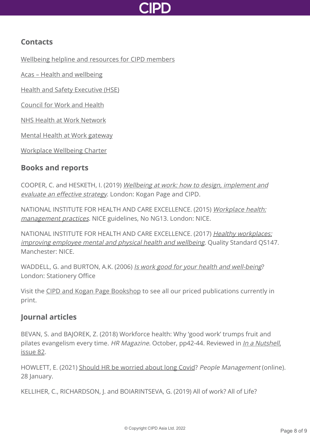

### **Contacts**

[Wellbeing helpline and resources for CIPD members](http://www.cipd.asia/membership/benefits/wellbeing-services/)

[Acas – Health and wellbeing](https://www.acas.org.uk/health-and-wellbeing)

[Health and Safety Executive \(HSE\)](http://www.hse.gov.uk)

[Council for Work and Health](http://www.councilforworkandhealth.org.uk)

[NHS Health at Work Network](http://www.nhshealthatwork.co.uk/index.asp)

[Mental Health at Work gateway](https://www.mentalhealthatwork.org.uk/)

[Workplace Wellbeing Charter](http://www.wellbeingcharter.org.uk)

#### **Books and reports**

COOPER, C. and HESKETH, I. (2019) [Wellbeing at work: how to design, implement and](https://www.koganpage.com/product/wellbeing-at-work-9780749480684) evaluate an effective strategy. London: Kogan Page and CIPD.

[NATIONAL INSTITUTE FOR HEALTH AND CARE EXCELLENCE. \(2015\)](https://www.nice.org.uk/guidance/NG13) Workplace health: management practices. NICE guidelines, No NG13. London: NICE.

[NATIONAL INSTITUTE FOR HEALTH AND CARE EXCELLENCE. \(2017\)](https://www.nice.org.uk/guidance/qs147) Healthy workplaces: improving employee mental and physical health and wellbeing. Quality Standard QS147. Manchester: NICE.

WADDELL, G. and BURTON, A.K. (2006) [Is work good for your health and well-being](https://www.gov.uk/government/uploads/system/uploads/attachment_data/file/214326/hwwb-is-work-good-for-you.pdf)? London: Stationery Office

Visit the [CIPD and Kogan Page Bookshop](http://www.cipd.asia/learn-develop-connect/bookshop) to see all our priced publications currently in print.

### **Journal articles**

BEVAN, S. and BAJOREK, Z. (2018) Workforce health: Why 'good work' trumps fruit and pilates evangelism every time. HR Magazine. October, pp42-44. Reviewed in *[In a Nutshell](http://www.cipd.asia/knowledge/nutshell-articles/issue-82/)*, issue 82.

HOWLETT, E. (2021) [Should HR be worried about long Covid](https://www.peoplemanagement.co.uk/long-reads/articles/should-hr-worried-long-covid)? People Management (online). 28 January.

KELLIHER, C., RICHARDSON, J. and BOIARINTSEVA, G. (2019) All of work? All of Life?